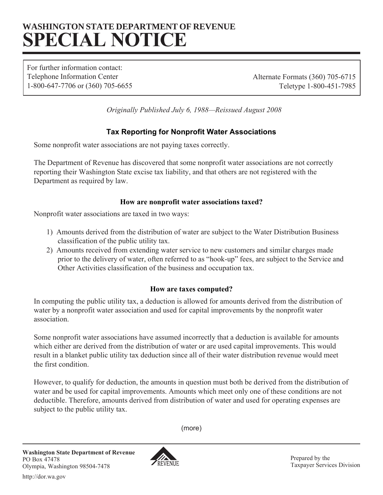# **WASHINGTON STATE DEPARTMENT OF REVENUE SPECIAL NOTICE**

For further information contact: Telephone Information Center Alternate Formats (360) 705-6715 1-800-647-7706 or (360) 705-6655 Teletype 1-800-451-7985

*Originally Published July 6, 1988—Reissued August 2008* 

## **Tax Reporting for Nonprofit Water Associations**

Some nonprofit water associations are not paying taxes correctly.

The Department of Revenue has discovered that some nonprofit water associations are not correctly reporting their Washington State excise tax liability, and that others are not registered with the Department as required by law.

### **How are nonprofit water associations taxed?**

Nonprofit water associations are taxed in two ways:

- 1) Amounts derived from the distribution of water are subject to the Water Distribution Business classification of the public utility tax.
- 2) Amounts received from extending water service to new customers and similar charges made prior to the delivery of water, often referred to as "hook-up" fees, are subject to the Service and Other Activities classification of the business and occupation tax.

### **How are taxes computed?**

In computing the public utility tax, a deduction is allowed for amounts derived from the distribution of water by a nonprofit water association and used for capital improvements by the nonprofit water association.

Some nonprofit water associations have assumed incorrectly that a deduction is available for amounts which either are derived from the distribution of water or are used capital improvements. This would result in a blanket public utility tax deduction since all of their water distribution revenue would meet the first condition.

However, to qualify for deduction, the amounts in question must both be derived from the distribution of water and be used for capital improvements. Amounts which meet only one of these conditions are not deductible. Therefore, amounts derived from distribution of water and used for operating expenses are subject to the public utility tax.

(more)